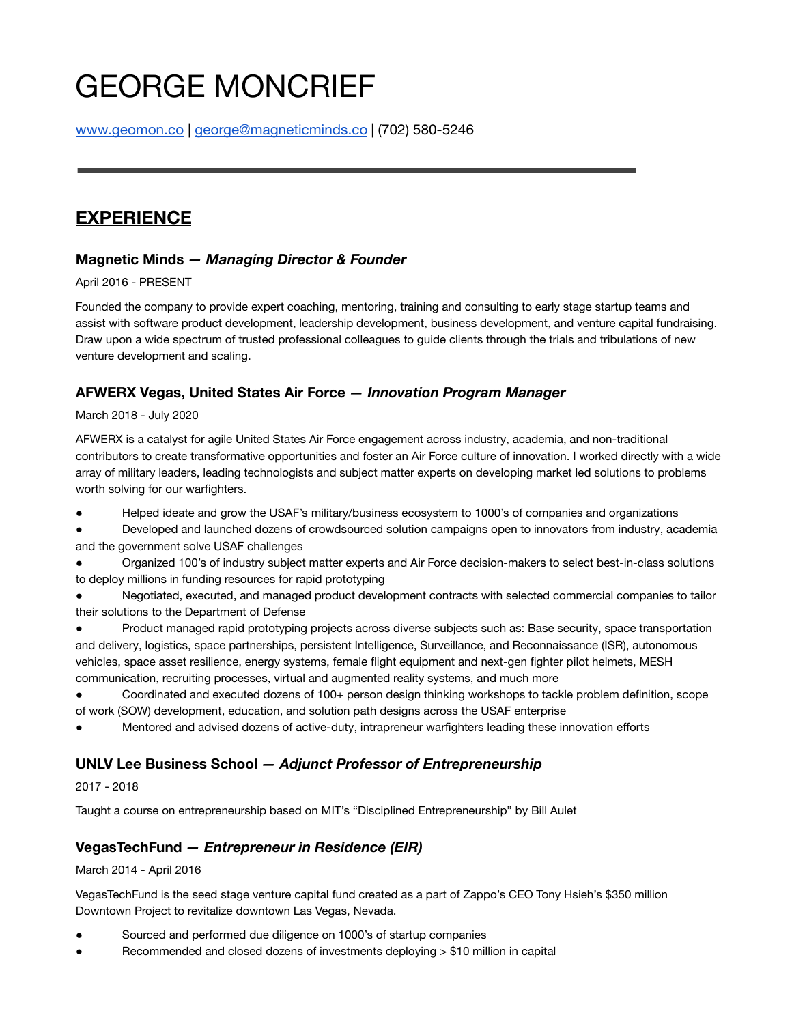# GEORGE MONCRIEF

[www.geomon.co](http://www.geomon.co) | [george@magneticminds.co](mailto:george@magneticminds.co) | (702) 580-5246

# **EXPERIENCE**

## **Magnetic Minds** *— Managing Director & Founder*

#### April 2016 - PRESENT

Founded the company to provide expert coaching, mentoring, training and consulting to early stage startup teams and assist with software product development, leadership development, business development, and venture capital fundraising. Draw upon a wide spectrum of trusted professional colleagues to guide clients through the trials and tribulations of new venture development and scaling.

## **AFWERX Vegas, United States Air Force** *— Innovation Program Manager*

#### March 2018 - July 2020

AFWERX is a catalyst for agile United States Air Force engagement across industry, academia, and non-traditional contributors to create transformative opportunities and foster an Air Force culture of innovation. I worked directly with a wide array of military leaders, leading technologists and subject matter experts on developing market led solutions to problems worth solving for our warfighters.

● Helped ideate and grow the USAF's military/business ecosystem to 1000's of companies and organizations

Developed and launched dozens of crowdsourced solution campaigns open to innovators from industry, academia and the government solve USAF challenges

● Organized 100's of industry subject matter experts and Air Force decision-makers to select best-in-class solutions to deploy millions in funding resources for rapid prototyping

● Negotiated, executed, and managed product development contracts with selected commercial companies to tailor their solutions to the Department of Defense

● Product managed rapid prototyping projects across diverse subjects such as: Base security, space transportation and delivery, logistics, space partnerships, persistent Intelligence, Surveillance, and Reconnaissance (ISR), autonomous vehicles, space asset resilience, energy systems, female flight equipment and next-gen fighter pilot helmets, MESH communication, recruiting processes, virtual and augmented reality systems, and much more

● Coordinated and executed dozens of 100+ person design thinking workshops to tackle problem definition, scope of work (SOW) development, education, and solution path designs across the USAF enterprise

Mentored and advised dozens of active-duty, intrapreneur warfighters leading these innovation efforts

# **UNLV Lee Business School** *— Adjunct Professor of Entrepreneurship*

#### 2017 - 2018

Taught a course on entrepreneurship based on MIT's "Disciplined Entrepreneurship" by Bill Aulet

# **VegasTechFund** *— Entrepreneur in Residence (EIR)*

March 2014 - April 2016

VegasTechFund is the seed stage venture capital fund created as a part of Zappo's CEO Tony Hsieh's \$350 million Downtown Project to revitalize downtown Las Vegas, Nevada.

- Sourced and performed due diligence on 1000's of startup companies
- Recommended and closed dozens of investments deploying  $> $10$  million in capital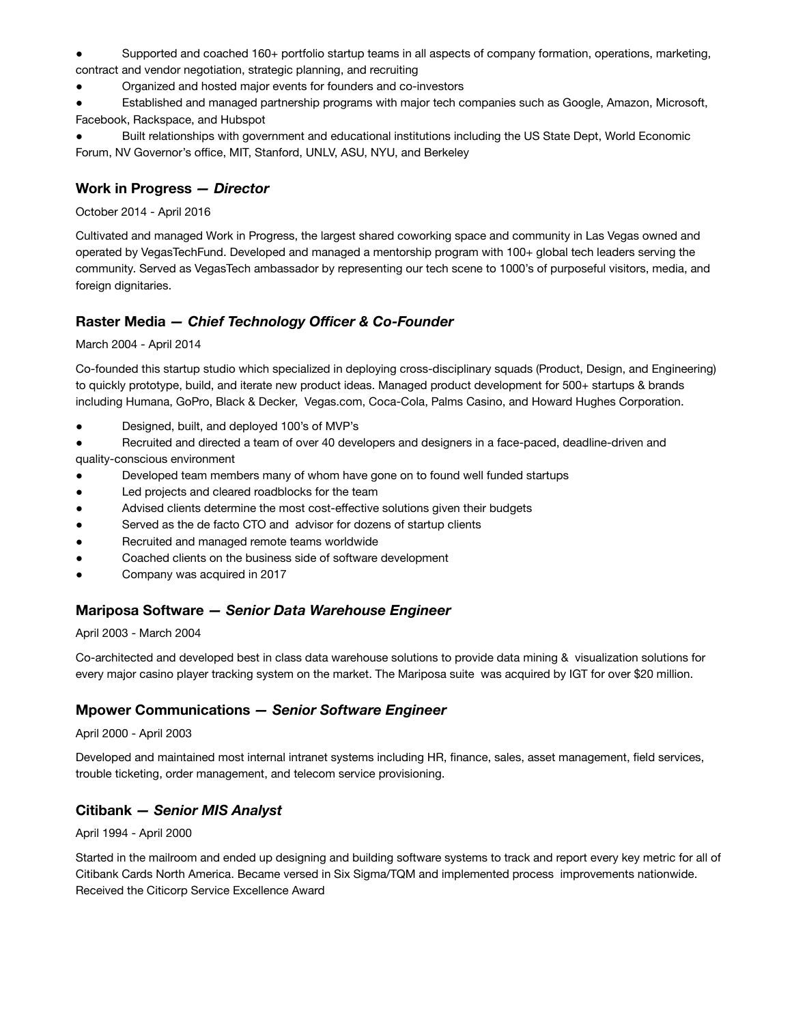Supported and coached 160+ portfolio startup teams in all aspects of company formation, operations, marketing, contract and vendor negotiation, strategic planning, and recruiting

● Organized and hosted major events for founders and co-investors

Established and managed partnership programs with major tech companies such as Google, Amazon, Microsoft, Facebook, Rackspace, and Hubspot

Built relationships with government and educational institutions including the US State Dept, World Economic Forum, NV Governor's office, MIT, Stanford, UNLV, ASU, NYU, and Berkeley

#### **Work in Progress** *— Director*

October 2014 - April 2016

Cultivated and managed Work in Progress, the largest shared coworking space and community in Las Vegas owned and operated by VegasTechFund. Developed and managed a mentorship program with 100+ global tech leaders serving the community. Served as VegasTech ambassador by representing our tech scene to 1000's of purposeful visitors, media, and foreign dignitaries.

#### **Raster Media** *— Chief Technology Officer & Co-Founder*

March 2004 - April 2014

Co-founded this startup studio which specialized in deploying cross-disciplinary squads (Product, Design, and Engineering) to quickly prototype, build, and iterate new product ideas. Managed product development for 500+ startups & brands including Humana, GoPro, Black & Decker, Vegas.com, Coca-Cola, Palms Casino, and Howard Hughes Corporation.

Designed, built, and deployed 100's of MVP's

● Recruited and directed a team of over 40 developers and designers in a face-paced, deadline-driven and quality-conscious environment

- Developed team members many of whom have gone on to found well funded startups
- Led projects and cleared roadblocks for the team
- Advised clients determine the most cost-effective solutions given their budgets
- Served as the de facto CTO and advisor for dozens of startup clients
- Recruited and managed remote teams worldwide
- Coached clients on the business side of software development
- Company was acquired in 2017

# **Mariposa Software** *— Senior Data Warehouse Engineer*

April 2003 - March 2004

Co-architected and developed best in class data warehouse solutions to provide data mining & visualization solutions for every major casino player tracking system on the market. The Mariposa suite was acquired by IGT for over \$20 million.

#### **Mpower Communications** *— Senior Software Engineer*

April 2000 - April 2003

Developed and maintained most internal intranet systems including HR, finance, sales, asset management, field services, trouble ticketing, order management, and telecom service provisioning.

#### **Citibank** *— Senior MIS Analyst*

April 1994 - April 2000

Started in the mailroom and ended up designing and building software systems to track and report every key metric for all of Citibank Cards North America. Became versed in Six Sigma/TQM and implemented process improvements nationwide. Received the Citicorp Service Excellence Award